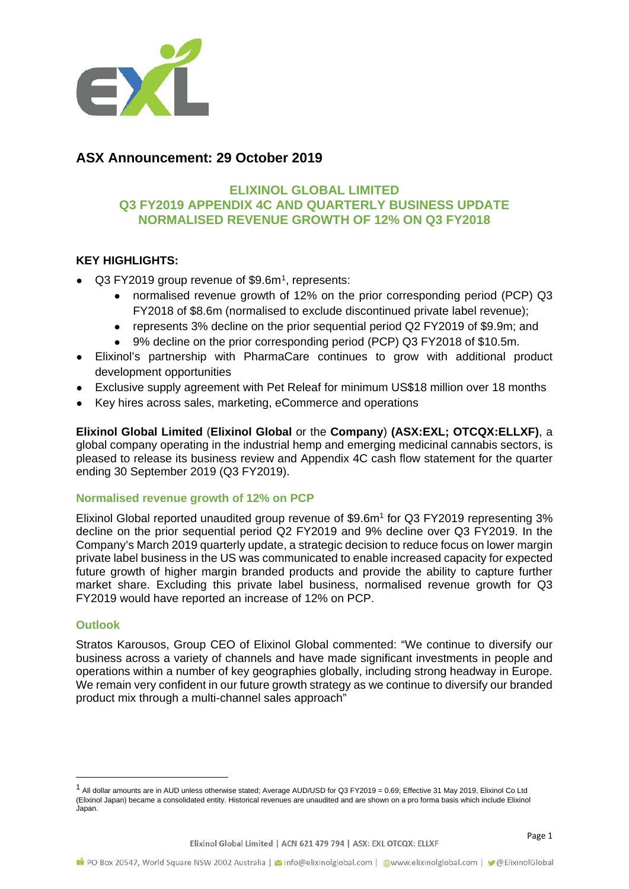

## **ASX Announcement: 29 October 2019**

#### **ELIXINOL GLOBAL LIMITED Q3 FY2019 APPENDIX 4C AND QUARTERLY BUSINESS UPDATE NORMALISED REVENUE GROWTH OF 12% ON Q3 FY2018**

#### **KEY HIGHLIGHTS:**

- Q3 FY2019 group revenue of \$9.6m<sup>1</sup>, represents:
	- normalised revenue growth of 12% on the prior corresponding period (PCP) Q3 FY2018 of \$8.6m (normalised to exclude discontinued private label revenue);
		- represents 3% decline on the prior sequential period Q2 FY2019 of \$9.9m; and
	- 9% decline on the prior corresponding period (PCP) Q3 FY2018 of \$10.5m.
- Elixinol's partnership with PharmaCare continues to grow with additional product development opportunities
- Exclusive supply agreement with Pet Releaf for minimum US\$18 million over 18 months
- Key hires across sales, marketing, eCommerce and operations

**Elixinol Global Limited** (**Elixinol Global** or the **Company**) **(ASX:EXL; OTCQX:ELLXF)**, a global company operating in the industrial hemp and emerging medicinal cannabis sectors, is pleased to release its business review and Appendix 4C cash flow statement for the quarter ending 30 September 2019 (Q3 FY2019).

#### **Normalised revenue growth of 12% on PCP**

Elixinol Global reported unaudited group revenue of \$9.6m<sup>1</sup> for Q3 FY2019 representing 3% decline on the prior sequential period Q2 FY2019 and 9% decline over Q3 FY2019. In the Company's March 2019 quarterly update, a strategic decision to reduce focus on lower margin private label business in the US was communicated to enable increased capacity for expected future growth of higher margin branded products and provide the ability to capture further market share. Excluding this private label business, normalised revenue growth for Q3 FY2019 would have reported an increase of 12% on PCP.

#### **Outlook**

Stratos Karousos, Group CEO of Elixinol Global commented: "We continue to diversify our business across a variety of channels and have made significant investments in people and operations within a number of key geographies globally, including strong headway in Europe. We remain very confident in our future growth strategy as we continue to diversify our branded product mix through a multi-channel sales approach"

<span id="page-0-0"></span> $1$  All dollar amounts are in AUD unless otherwise stated; Average AUD/USD for Q3 FY2019 = 0.69; Effective 31 May 2019, Elixinol Co Ltd (Elixinol Japan) became a consolidated entity. Historical revenues are unaudited and are shown on a pro forma basis which include Elixinol Japan.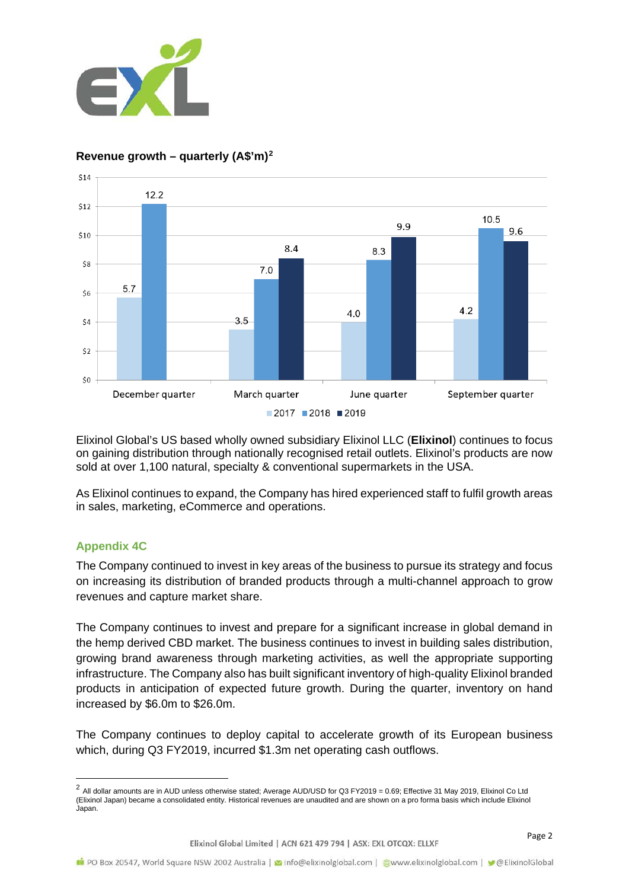

#### $$14$  $122$  $$12$ 10.5 9.9 9.6 \$10  $8.4$ 8.3 \$8  $7.0$ 5.7  $$6$ 4.2  $40$  $3.5$  $\zeta$ <sub>4</sub>  $$2$  $$0$ December quarter March quarter June quarter September quarter  $2017$  2018 2019

### **Revenue growth – quarterly (A\$'m)[2](#page-1-0)**

Elixinol Global's US based wholly owned subsidiary Elixinol LLC (**Elixinol**) continues to focus on gaining distribution through nationally recognised retail outlets. Elixinol's products are now sold at over 1,100 natural, specialty & conventional supermarkets in the USA.

As Elixinol continues to expand, the Company has hired experienced staff to fulfil growth areas in sales, marketing, eCommerce and operations.

#### **Appendix 4C**

The Company continued to invest in key areas of the business to pursue its strategy and focus on increasing its distribution of branded products through a multi-channel approach to grow revenues and capture market share.

The Company continues to invest and prepare for a significant increase in global demand in the hemp derived CBD market. The business continues to invest in building sales distribution, growing brand awareness through marketing activities, as well the appropriate supporting infrastructure. The Company also has built significant inventory of high-quality Elixinol branded products in anticipation of expected future growth. During the quarter, inventory on hand increased by \$6.0m to \$26.0m.

The Company continues to deploy capital to accelerate growth of its European business which, during Q3 FY2019, incurred \$1.3m net operating cash outflows.

<span id="page-1-0"></span><sup>&</sup>lt;sup>2</sup> All dollar amounts are in AUD unless otherwise stated; Average AUD/USD for Q3 FY2019 = 0.69; Effective 31 May 2019, Elixinol Co Ltd (Elixinol Japan) became a consolidated entity. Historical revenues are unaudited and are shown on a pro forma basis which include Elixinol Japan.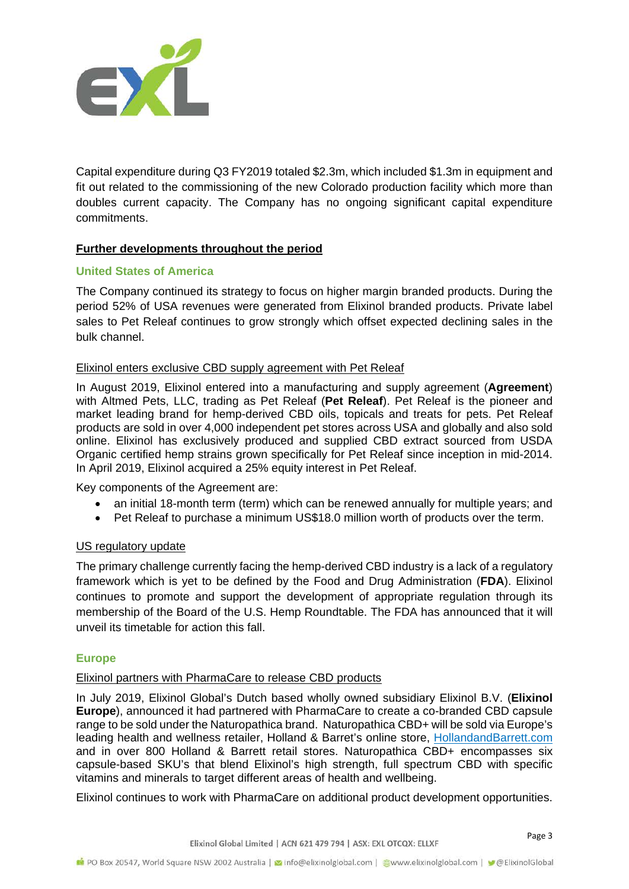

Capital expenditure during Q3 FY2019 totaled \$2.3m, which included \$1.3m in equipment and fit out related to the commissioning of the new Colorado production facility which more than doubles current capacity. The Company has no ongoing significant capital expenditure commitments.

#### **Further developments throughout the period**

#### **United States of America**

The Company continued its strategy to focus on higher margin branded products. During the period 52% of USA revenues were generated from Elixinol branded products. Private label sales to Pet Releaf continues to grow strongly which offset expected declining sales in the bulk channel.

#### Elixinol enters exclusive CBD supply agreement with Pet Releaf

In August 2019, Elixinol entered into a manufacturing and supply agreement (**Agreement**) with Altmed Pets, LLC, trading as Pet Releaf (**Pet Releaf**). Pet Releaf is the pioneer and market leading brand for hemp-derived CBD oils, topicals and treats for pets. Pet Releaf products are sold in over 4,000 independent pet stores across USA and globally and also sold online. Elixinol has exclusively produced and supplied CBD extract sourced from USDA Organic certified hemp strains grown specifically for Pet Releaf since inception in mid-2014. In April 2019, Elixinol acquired a 25% equity interest in Pet Releaf.

Key components of the Agreement are:

- an initial 18-month term (term) which can be renewed annually for multiple years; and
- Pet Releaf to purchase a minimum US\$18.0 million worth of products over the term.

#### US regulatory update

The primary challenge currently facing the hemp-derived CBD industry is a lack of a regulatory framework which is yet to be defined by the Food and Drug Administration (**FDA**). Elixinol continues to promote and support the development of appropriate regulation through its membership of the Board of the U.S. Hemp Roundtable. The FDA has announced that it will unveil its timetable for action this fall.

#### **Europe**

#### Elixinol partners with PharmaCare to release CBD products

In July 2019, Elixinol Global's Dutch based wholly owned subsidiary Elixinol B.V. (**Elixinol Europe**), announced it had partnered with PharmaCare to create a co-branded CBD capsule range to be sold under the Naturopathica brand. Naturopathica CBD+ will be sold via Europe's leading health and wellness retailer, Holland & Barret's online store, HollandandBarrett.com and in over 800 Holland & Barrett retail stores. Naturopathica CBD+ encompasses six capsule-based SKU's that blend Elixinol's high strength, full spectrum CBD with specific vitamins and minerals to target different areas of health and wellbeing.

Elixinol continues to work with PharmaCare on additional product development opportunities.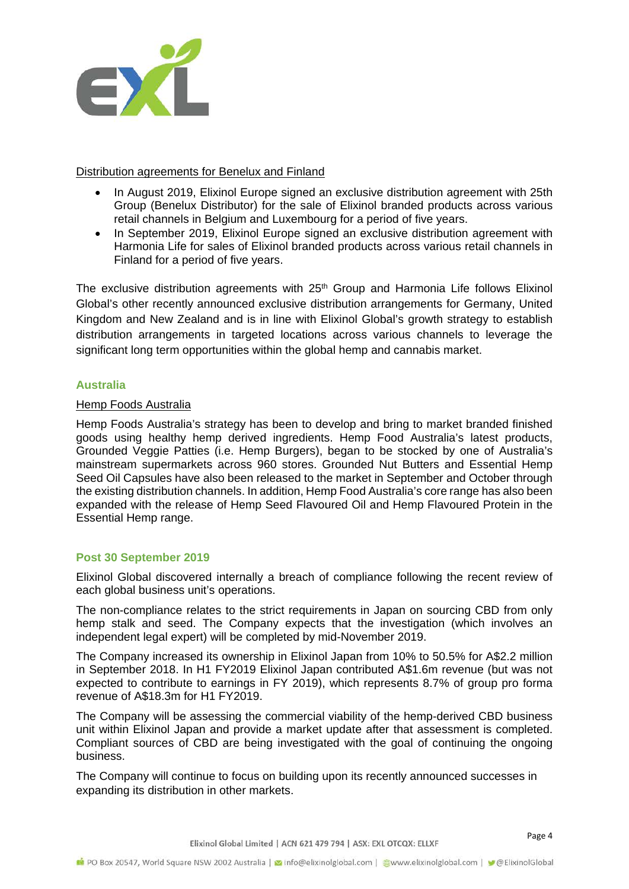

#### Distribution agreements for Benelux and Finland

- In August 2019, Elixinol Europe signed an exclusive distribution agreement with 25th Group (Benelux Distributor) for the sale of Elixinol branded products across various retail channels in Belgium and Luxembourg for a period of five years.
- In September 2019, Elixinol Europe signed an exclusive distribution agreement with Harmonia Life for sales of Elixinol branded products across various retail channels in Finland for a period of five years.

The exclusive distribution agreements with 25<sup>th</sup> Group and Harmonia Life follows Elixinol Global's other recently announced exclusive distribution arrangements for Germany, United Kingdom and New Zealand and is in line with Elixinol Global's growth strategy to establish distribution arrangements in targeted locations across various channels to leverage the significant long term opportunities within the global hemp and cannabis market.

#### **Australia**

#### Hemp Foods Australia

Hemp Foods Australia's strategy has been to develop and bring to market branded finished goods using healthy hemp derived ingredients. Hemp Food Australia's latest products, Grounded Veggie Patties (i.e. Hemp Burgers), began to be stocked by one of Australia's mainstream supermarkets across 960 stores. Grounded Nut Butters and Essential Hemp Seed Oil Capsules have also been released to the market in September and October through the existing distribution channels. In addition, Hemp Food Australia's core range has also been expanded with the release of Hemp Seed Flavoured Oil and Hemp Flavoured Protein in the Essential Hemp range.

#### **Post 30 September 2019**

Elixinol Global discovered internally a breach of compliance following the recent review of each global business unit's operations.

The non-compliance relates to the strict requirements in Japan on sourcing CBD from only hemp stalk and seed. The Company expects that the investigation (which involves an independent legal expert) will be completed by mid-November 2019.

The Company increased its ownership in Elixinol Japan from 10% to 50.5% for A\$2.2 million in September 2018. In H1 FY2019 Elixinol Japan contributed A\$1.6m revenue (but was not expected to contribute to earnings in FY 2019), which represents 8.7% of group pro forma revenue of A\$18.3m for H1 FY2019.

The Company will be assessing the commercial viability of the hemp-derived CBD business unit within Elixinol Japan and provide a market update after that assessment is completed. Compliant sources of CBD are being investigated with the goal of continuing the ongoing business.

The Company will continue to focus on building upon its recently announced successes in expanding its distribution in other markets.

Elixinol Global Limited | ACN 621 479 794 | ASX: EXL OTCQX: ELLXF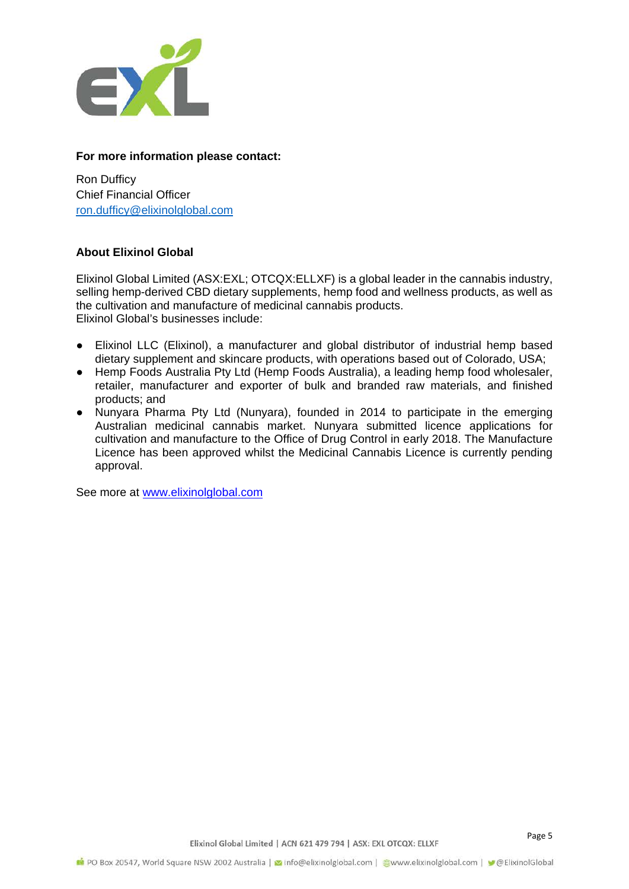

#### **For more information please contact:**

Ron Dufficy Chief Financial Officer [ron.dufficy@elixinolglobal.com](mailto:ron.dufficy@elixinolglobal.com)

#### **About Elixinol Global**

Elixinol Global Limited (ASX:EXL; OTCQX:ELLXF) is a global leader in the cannabis industry, selling hemp-derived CBD dietary supplements, hemp food and wellness products, as well as the cultivation and manufacture of medicinal cannabis products. Elixinol Global's businesses include:

- Elixinol LLC (Elixinol), a manufacturer and global distributor of industrial hemp based dietary supplement and skincare products, with operations based out of Colorado, USA;
- Hemp Foods Australia Pty Ltd (Hemp Foods Australia), a leading hemp food wholesaler, retailer, manufacturer and exporter of bulk and branded raw materials, and finished products; and
- Nunyara Pharma Pty Ltd (Nunyara), founded in 2014 to participate in the emerging Australian medicinal cannabis market. Nunyara submitted licence applications for cultivation and manufacture to the Office of Drug Control in early 2018. The Manufacture Licence has been approved whilst the Medicinal Cannabis Licence is currently pending approval.

See more at [www.elixinolglobal.com](http://www.elixinolglobal.com/)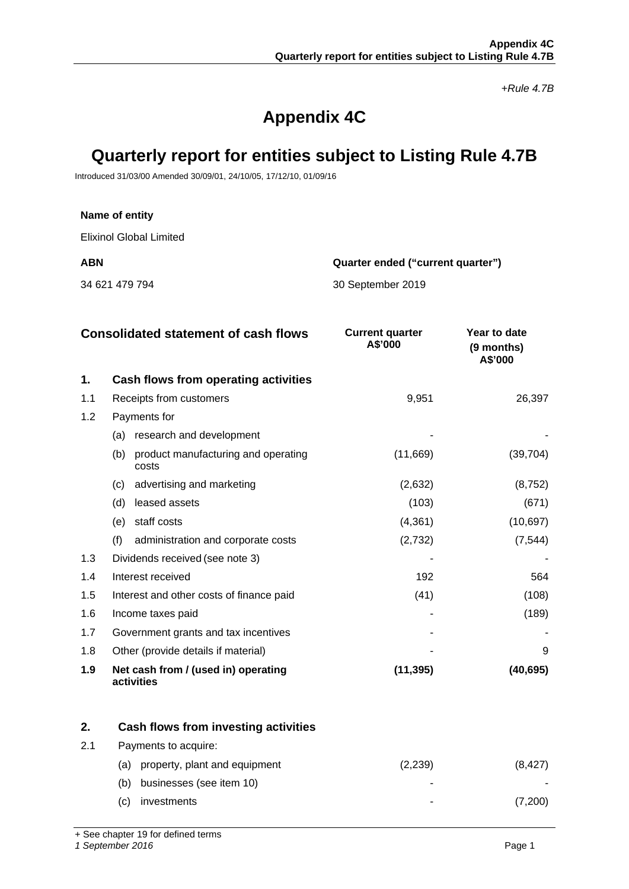*+Rule 4.7B*

# **Appendix 4C**

## **Quarterly report for entities subject to Listing Rule 4.7B**

Introduced 31/03/00 Amended 30/09/01, 24/10/05, 17/12/10, 01/09/16

#### **Name of entity**

Elixinol Global Limited

**ABN Quarter ended ("current quarter")**

34 621 479 794 30 September 2019

|     | <b>Consolidated statement of cash flows</b>         | <b>Current quarter</b><br>A\$'000 | Year to date<br>(9 months)<br>A\$'000 |
|-----|-----------------------------------------------------|-----------------------------------|---------------------------------------|
| 1.  | Cash flows from operating activities                |                                   |                                       |
| 1.1 | Receipts from customers                             | 9,951                             | 26,397                                |
| 1.2 | Payments for                                        |                                   |                                       |
|     | research and development<br>(a)                     |                                   |                                       |
|     | product manufacturing and operating<br>(b)<br>costs | (11,669)                          | (39, 704)                             |
|     | advertising and marketing<br>(c)                    | (2,632)                           | (8, 752)                              |
|     | leased assets<br>(d)                                | (103)                             | (671)                                 |
|     | staff costs<br>(e)                                  | (4,361)                           | (10, 697)                             |
|     | (f)<br>administration and corporate costs           | (2,732)                           | (7, 544)                              |
| 1.3 | Dividends received (see note 3)                     |                                   |                                       |
| 1.4 | Interest received                                   | 192                               | 564                                   |
| 1.5 | Interest and other costs of finance paid            | (41)                              | (108)                                 |
| 1.6 | Income taxes paid                                   |                                   | (189)                                 |
| 1.7 | Government grants and tax incentives                |                                   |                                       |
| 1.8 | Other (provide details if material)                 |                                   | 9                                     |
| 1.9 | Net cash from / (used in) operating<br>activities   | (11, 395)                         | (40, 695)                             |

|    |     | Cash flows from investing activities |         |  |
|----|-----|--------------------------------------|---------|--|
| 21 |     | Payments to acquire:                 |         |  |
|    | (a) | property, plant and equipment        | (2,239) |  |
|    | (b) | businesses (see item 10)             |         |  |
|    | (C) | investments                          |         |  |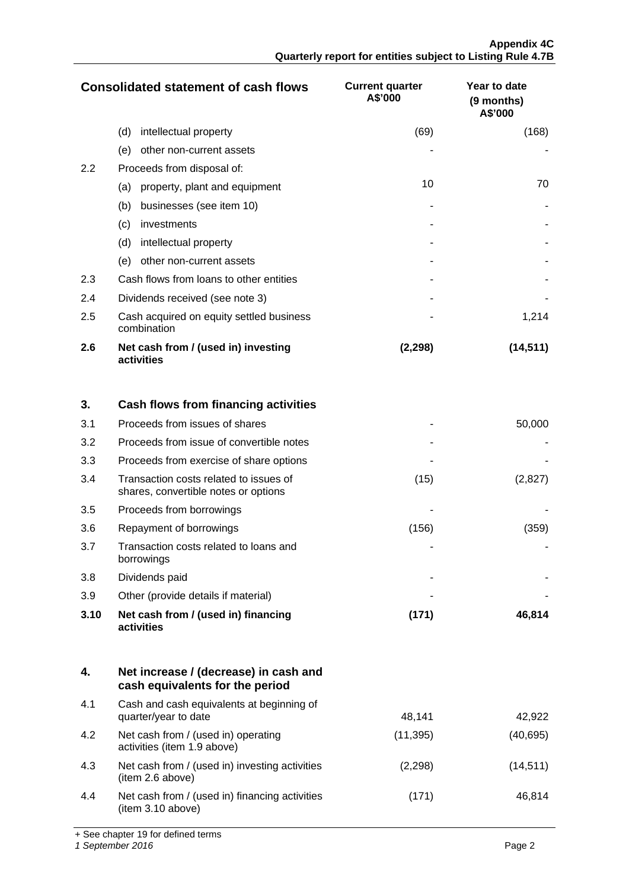**Appendix 4C Quarterly report for entities subject to Listing Rule 4.7B**

|     | <b>Consolidated statement of cash flows</b>             | <b>Current quarter</b><br>A\$'000 | <b>Year to date</b><br>(9 months)<br>A\$'000 |
|-----|---------------------------------------------------------|-----------------------------------|----------------------------------------------|
|     | (d)<br>intellectual property                            | (69)                              | (168)                                        |
|     | other non-current assets<br>(e)                         |                                   |                                              |
| 2.2 | Proceeds from disposal of:                              |                                   |                                              |
|     | property, plant and equipment<br>(a)                    | 10                                | 70                                           |
|     | businesses (see item 10)<br>(b)                         |                                   |                                              |
|     | (c)<br>investments                                      |                                   |                                              |
|     | (d)<br>intellectual property                            |                                   |                                              |
|     | other non-current assets<br>(e)                         |                                   |                                              |
| 2.3 | Cash flows from loans to other entities                 |                                   |                                              |
| 2.4 | Dividends received (see note 3)                         |                                   |                                              |
| 2.5 | Cash acquired on equity settled business<br>combination |                                   | 1,214                                        |
| 2.6 | Net cash from / (used in) investing<br>activities       | (2, 298)                          | (14,511)                                     |

| 3.   | Cash flows from financing activities                                           |       |         |
|------|--------------------------------------------------------------------------------|-------|---------|
| 3.1  | Proceeds from issues of shares                                                 |       | 50,000  |
| 3.2  | Proceeds from issue of convertible notes                                       |       |         |
| 3.3  | Proceeds from exercise of share options                                        |       |         |
| 3.4  | Transaction costs related to issues of<br>shares, convertible notes or options | (15)  | (2,827) |
| 3.5  | Proceeds from borrowings                                                       |       |         |
| 3.6  | Repayment of borrowings                                                        | (156) | (359)   |
| 3.7  | Transaction costs related to loans and<br>borrowings                           |       |         |
| 3.8  | Dividends paid                                                                 |       |         |
| 3.9  | Other (provide details if material)                                            |       |         |
| 3.10 | Net cash from / (used in) financing<br>activities                              | (171) | 46,814  |

|     | Net increase / (decrease) in cash and<br>cash equivalents for the period |          |           |
|-----|--------------------------------------------------------------------------|----------|-----------|
| 4.1 | Cash and cash equivalents at beginning of<br>quarter/year to date        | 48.141   | 42.922    |
| 4.2 | Net cash from / (used in) operating<br>activities (item 1.9 above)       | (11,395) | (40,695)  |
| 4.3 | Net cash from / (used in) investing activities<br>(item 2.6 above)       | (2,298)  | (14, 511) |
| 4.4 | Net cash from / (used in) financing activities<br>(item 3.10 above)      | (171)    | 46.814    |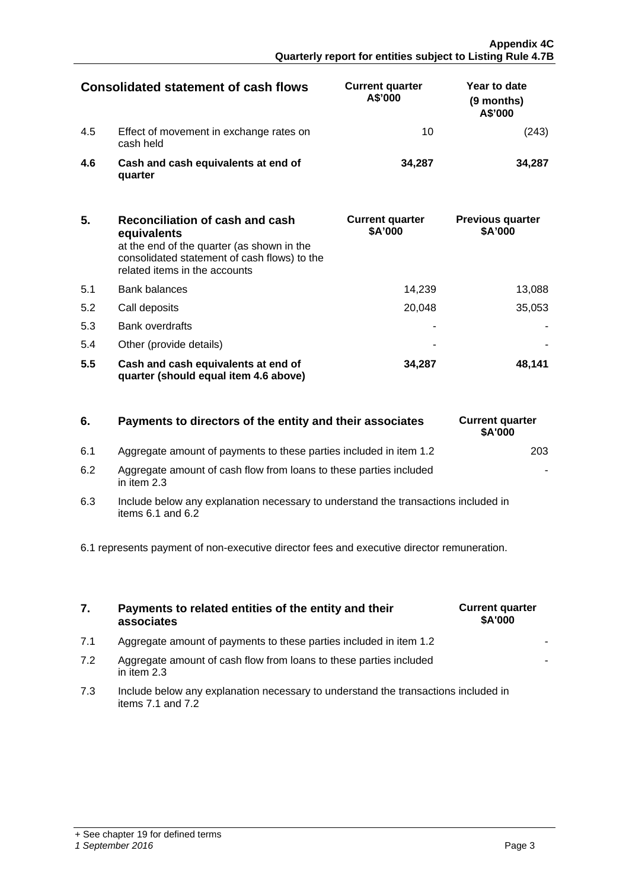|     | Consolidated statement of cash flows                 | <b>Current quarter</b><br>A\$'000 | Year to date<br>(9 months)<br>A\$'000 |
|-----|------------------------------------------------------|-----------------------------------|---------------------------------------|
| 4.5 | Effect of movement in exchange rates on<br>cash held |                                   |                                       |
| 46  | Cash and cash equivalents at end of<br>quarter       | 34.287                            | 34 287                                |

| 5.  | Reconciliation of cash and cash<br>equivalents<br>at the end of the quarter (as shown in the<br>consolidated statement of cash flows) to the<br>related items in the accounts | <b>Current quarter</b><br>\$A'000 | <b>Previous quarter</b><br>\$A'000 |
|-----|-------------------------------------------------------------------------------------------------------------------------------------------------------------------------------|-----------------------------------|------------------------------------|
| 5.1 | Bank balances                                                                                                                                                                 | 14.239                            | 13,088                             |
| 5.2 | Call deposits                                                                                                                                                                 | 20.048                            | 35.053                             |
| 5.3 | <b>Bank overdrafts</b>                                                                                                                                                        |                                   |                                    |
| 5.4 | Other (provide details)                                                                                                                                                       |                                   |                                    |
| 5.5 | Cash and cash equivalents at end of<br>quarter (should equal item 4.6 above)                                                                                                  | 34.287                            | 48.141                             |

| 6. | Payments to directors of the entity and their associates |  |
|----|----------------------------------------------------------|--|

| 6.1 | Aggregate amount of payments to these parties included in item 1.2 |  |
|-----|--------------------------------------------------------------------|--|
|     |                                                                    |  |

- 6.2 Aggregate amount of cash flow from loans to these parties included in item 2.3
- 6.3 Include below any explanation necessary to understand the transactions included in items  $6.1$  and  $6.2$

6.1 represents payment of non-executive director fees and executive director remuneration.

| 7. | Payments to related entities of the entity and their |
|----|------------------------------------------------------|
|    | associates                                           |

- 7.1 Aggregate amount of payments to these parties included in item 1.2
- 7.2 Aggregate amount of cash flow from loans to these parties included in item 2.3
- 7.3 Include below any explanation necessary to understand the transactions included in items 7.1 and 7.2



**6. Current quarter \$A'000**

-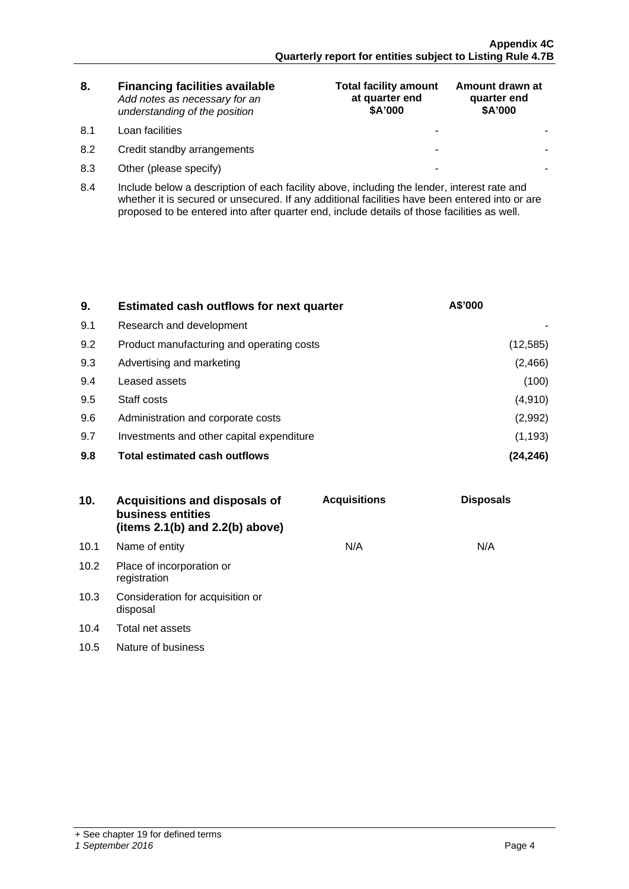| 8. | <b>Financing facilities available</b> |
|----|---------------------------------------|
|    | Add notes as necessary for an         |
|    | understanding of the position         |

- 8.1 Loan facilities
- 8.2 Credit standby arrangements
- 8.3 Other (please specify)

| <b>Total facility amount</b><br>at quarter end<br>\$A'000 | Amount drawn at<br>quarter end<br>\$A'000 |
|-----------------------------------------------------------|-------------------------------------------|
|                                                           |                                           |
|                                                           |                                           |
|                                                           |                                           |

8.4 Include below a description of each facility above, including the lender, interest rate and whether it is secured or unsecured. If any additional facilities have been entered into or are proposed to be entered into after quarter end, include details of those facilities as well.

| 9.  | <b>Estimated cash outflows for next quarter</b> | A\$'000   |
|-----|-------------------------------------------------|-----------|
| 9.1 | Research and development                        |           |
| 9.2 | Product manufacturing and operating costs       | (12, 585) |
| 9.3 | Advertising and marketing                       | (2, 466)  |
| 9.4 | Leased assets                                   | (100)     |
| 9.5 | Staff costs                                     | (4, 910)  |
| 9.6 | Administration and corporate costs              | (2,992)   |
| 9.7 | Investments and other capital expenditure       | (1, 193)  |
| 9.8 | <b>Total estimated cash outflows</b>            |           |

| 10.  | Acquisitions and disposals of<br>business entities<br>(items $2.1(b)$ and $2.2(b)$ above) | <b>Acquisitions</b> | <b>Disposals</b> |
|------|-------------------------------------------------------------------------------------------|---------------------|------------------|
| 10.1 | Name of entity                                                                            | N/A                 | N/A              |
| 10.2 | Place of incorporation or<br>registration                                                 |                     |                  |
| 10.3 | Consideration for acquisition or<br>disposal                                              |                     |                  |
| 10.4 | Total net assets                                                                          |                     |                  |
| 10.5 | Nature of business                                                                        |                     |                  |